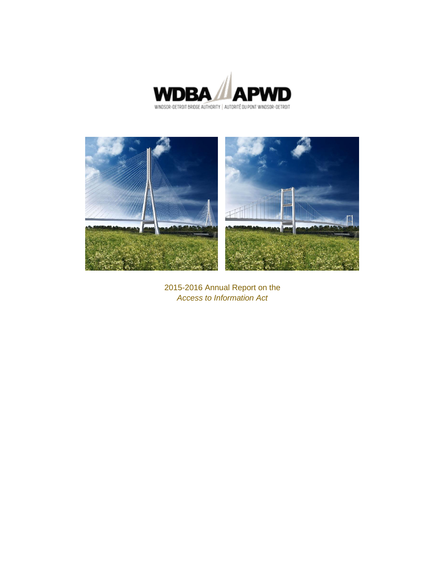



2015-2016 Annual Report on the *Access to Information Act*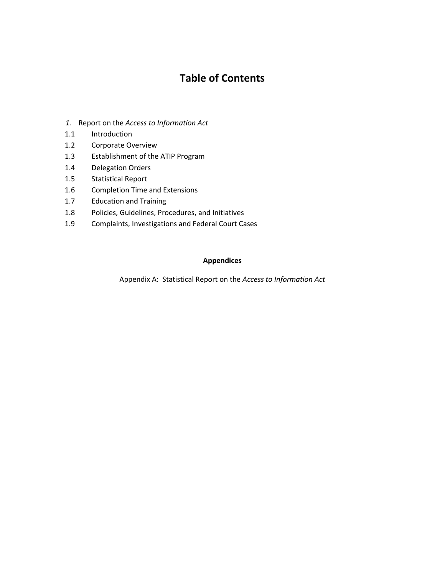# **Table of Contents**

- *1.* Report on the *Access to Information Act*
- 1.1 Introduction
- 1.2 Corporate Overview
- 1.3 Establishment of the ATIP Program
- 1.4 Delegation Orders
- 1.5 Statistical Report
- 1.6 Completion Time and Extensions
- 1.7 Education and Training
- 1.8 Policies, Guidelines, Procedures, and Initiatives
- 1.9 Complaints, Investigations and Federal Court Cases

#### **Appendices**

Appendix A: Statistical Report on the *Access to Information Act*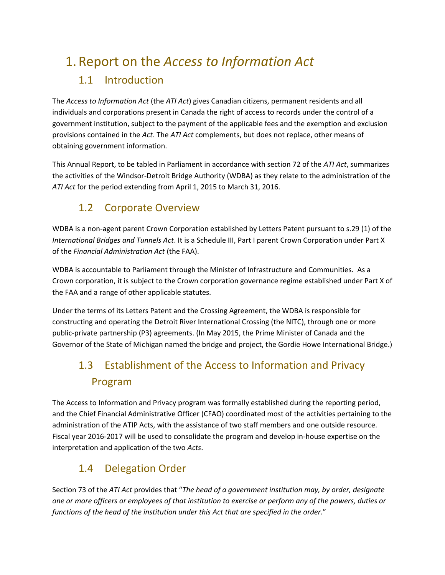# 1. Report on the *Access to Information Act*

# 1.1 Introduction

The *Access to Information Act* (the *ATI Act*) gives Canadian citizens, permanent residents and all individuals and corporations present in Canada the right of access to records under the control of a government institution, subject to the payment of the applicable fees and the exemption and exclusion provisions contained in the *Act*. The *ATI Act* complements, but does not replace, other means of obtaining government information.

This Annual Report, to be tabled in Parliament in accordance with section 72 of the *ATI Act*, summarizes the activities of the Windsor-Detroit Bridge Authority (WDBA) as they relate to the administration of the *ATI Act* for the period extending from April 1, 2015 to March 31, 2016.

# 1.2 Corporate Overview

WDBA is a non-agent parent Crown Corporation established by Letters Patent pursuant to s.29 (1) of the *International Bridges and Tunnels Act*. It is a Schedule III, Part I parent Crown Corporation under Part X of the *Financial Administration Act* (the FAA).

WDBA is accountable to Parliament through the Minister of Infrastructure and Communities. As a Crown corporation, it is subject to the Crown corporation governance regime established under Part X of the FAA and a range of other applicable statutes.

Under the terms of its Letters Patent and the Crossing Agreement, the WDBA is responsible for constructing and operating the Detroit River International Crossing (the NITC), through one or more public-private partnership (P3) agreements. (In May 2015, the Prime Minister of Canada and the Governor of the State of Michigan named the bridge and project, the Gordie Howe International Bridge.)

# 1.3 Establishment of the Access to Information and Privacy Program

The Access to Information and Privacy program was formally established during the reporting period, and the Chief Financial Administrative Officer (CFAO) coordinated most of the activities pertaining to the administration of the ATIP Acts, with the assistance of two staff members and one outside resource. Fiscal year 2016-2017 will be used to consolidate the program and develop in-house expertise on the interpretation and application of the two *Acts*.

# 1.4 Delegation Order

Section 73 of the *ATI Act* provides that "*The head of a government institution may, by order, designate one or more officers or employees of that institution to exercise or perform any of the powers, duties or functions of the head of the institution under this Act that are specified in the order.*"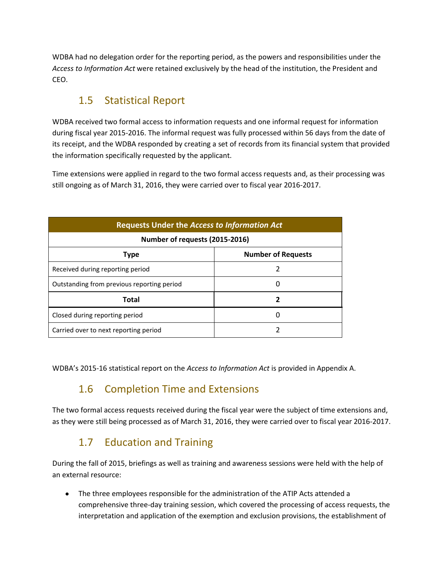WDBA had no delegation order for the reporting period, as the powers and responsibilities under the *Access to Information Act* were retained exclusively by the head of the institution, the President and CEO.

# 1.5 Statistical Report

WDBA received two formal access to information requests and one informal request for information during fiscal year 2015-2016. The informal request was fully processed within 56 days from the date of its receipt, and the WDBA responded by creating a set of records from its financial system that provided the information specifically requested by the applicant.

Time extensions were applied in regard to the two formal access requests and, as their processing was still ongoing as of March 31, 2016, they were carried over to fiscal year 2016-2017.

| <b>Requests Under the Access to Information Act</b> |   |  |  |  |  |
|-----------------------------------------------------|---|--|--|--|--|
| Number of requests (2015-2016)                      |   |  |  |  |  |
| <b>Number of Requests</b><br><b>Type</b>            |   |  |  |  |  |
| Received during reporting period                    |   |  |  |  |  |
| Outstanding from previous reporting period          |   |  |  |  |  |
| Total                                               | 7 |  |  |  |  |
| Closed during reporting period                      |   |  |  |  |  |
| Carried over to next reporting period               |   |  |  |  |  |

WDBA's 2015-16 statistical report on the *Access to Information Act* is provided in Appendix A.

# 1.6 Completion Time and Extensions

The two formal access requests received during the fiscal year were the subject of time extensions and, as they were still being processed as of March 31, 2016, they were carried over to fiscal year 2016-2017.

# 1.7 Education and Training

During the fall of 2015, briefings as well as training and awareness sessions were held with the help of an external resource:

The three employees responsible for the administration of the ATIP Acts attended a  $\bullet$ comprehensive three-day training session, which covered the processing of access requests, the interpretation and application of the exemption and exclusion provisions, the establishment of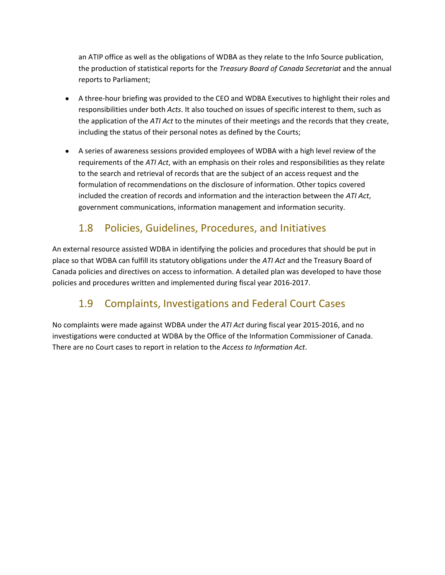an ATIP office as well as the obligations of WDBA as they relate to the Info Source publication, the production of statistical reports for the *Treasury Board of Canada Secretariat* and the annual reports to Parliament;

- A three-hour briefing was provided to the CEO and WDBA Executives to highlight their roles and responsibilities under both *Acts*. It also touched on issues of specific interest to them, such as the application of the *ATI Act* to the minutes of their meetings and the records that they create, including the status of their personal notes as defined by the Courts;
- A series of awareness sessions provided employees of WDBA with a high level review of the requirements of the *ATI Act*, with an emphasis on their roles and responsibilities as they relate to the search and retrieval of records that are the subject of an access request and the formulation of recommendations on the disclosure of information. Other topics covered included the creation of records and information and the interaction between the *ATI Act*, government communications, information management and information security.

# 1.8 Policies, Guidelines, Procedures, and Initiatives

An external resource assisted WDBA in identifying the policies and procedures that should be put in place so that WDBA can fulfill its statutory obligations under the *ATI Act* and the Treasury Board of Canada policies and directives on access to information. A detailed plan was developed to have those policies and procedures written and implemented during fiscal year 2016-2017.

# 1.9 Complaints, Investigations and Federal Court Cases

No complaints were made against WDBA under the *ATI Act* during fiscal year 2015-2016, and no investigations were conducted at WDBA by the Office of the Information Commissioner of Canada. There are no Court cases to report in relation to the *Access to Information Act*.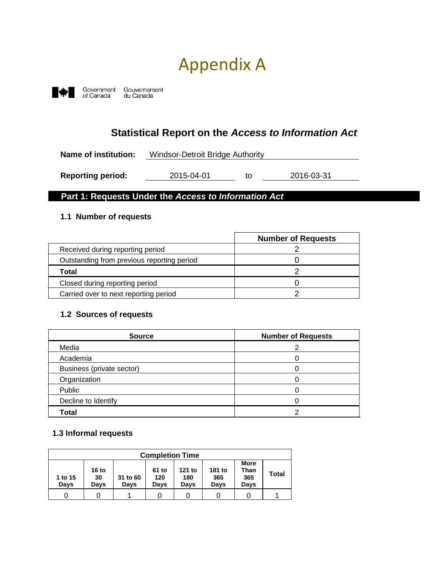# Appendix A



# **Statistical Report on the** *Access to Information Act*

| Name of institution:     |            | Windsor-Detroit Bridge Authority |            |  |
|--------------------------|------------|----------------------------------|------------|--|
|                          |            |                                  |            |  |
| <b>Reporting period:</b> | 2015-04-01 | tΩ                               | 2016-03-31 |  |

#### **Part 1: Requests Under the** *Access to Information Act*

#### **1.1 Number of requests**

|                                            | <b>Number of Requests</b> |
|--------------------------------------------|---------------------------|
| Received during reporting period           |                           |
| Outstanding from previous reporting period |                           |
| Total                                      |                           |
| Closed during reporting period             |                           |
| Carried over to next reporting period      |                           |

#### **1.2 Sources of requests**

| <b>Source</b>             | <b>Number of Requests</b> |
|---------------------------|---------------------------|
| Media                     |                           |
| Academia                  |                           |
| Business (private sector) |                           |
| Organization              |                           |
| Public                    |                           |
| Decline to Identify       |                           |
| <b>Total</b>              |                           |

#### **1.3 Informal requests**

|                        | <b>Completion Time</b>         |                         |                      |                       |                       |                                    |              |
|------------------------|--------------------------------|-------------------------|----------------------|-----------------------|-----------------------|------------------------------------|--------------|
| 1 to 15<br><b>Davs</b> | 16 <sub>to</sub><br>30<br>Davs | 31 to 60<br><b>Davs</b> | 61 to<br>120<br>Davs | 121 to<br>180<br>Davs | 181 to<br>365<br>Days | <b>More</b><br>Than<br>365<br>Davs | <b>Total</b> |
|                        |                                |                         |                      |                       |                       |                                    |              |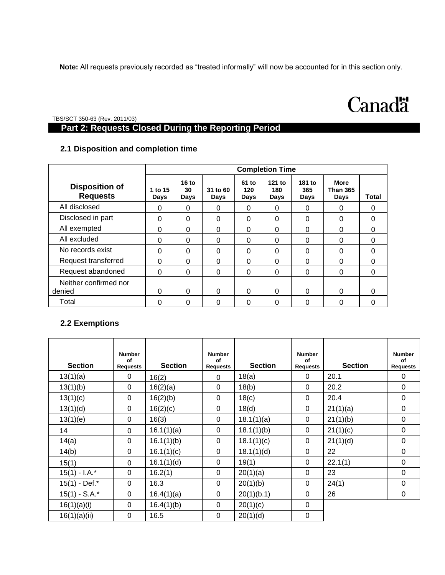**Note:** All requests previously recorded as "treated informally" will now be accounted for in this section only.

# **Canadä**

TBS/SCT 350-63 (Rev. 2011/03)

## **Part 2: Requests Closed During the Reporting Period**

#### **2.1 Disposition and completion time**

|                                          | <b>Completion Time</b> |                       |                  |                      |                       |                       |                                        |          |
|------------------------------------------|------------------------|-----------------------|------------------|----------------------|-----------------------|-----------------------|----------------------------------------|----------|
| <b>Disposition of</b><br><b>Requests</b> | 1 to 15<br><b>Days</b> | $16$ to<br>30<br>Days | 31 to 60<br>Days | 61 to<br>120<br>Days | 121 to<br>180<br>Days | 181 to<br>365<br>Days | <b>More</b><br><b>Than 365</b><br>Days | Total    |
| All disclosed                            | 0                      | 0                     | 0                | 0                    | 0                     | 0                     | 0                                      | 0        |
| Disclosed in part                        | 0                      | $\Omega$              | 0                | 0                    | 0                     | $\Omega$              | 0                                      | 0        |
| All exempted                             | 0                      | $\Omega$              | 0                | 0                    | $\Omega$              | $\Omega$              | 0                                      | 0        |
| All excluded                             | 0                      | $\Omega$              | 0                | 0                    | $\Omega$              | 0                     | 0                                      | 0        |
| No records exist                         | 0                      | $\Omega$              | 0                | 0                    | 0                     | 0                     | 0                                      | $\Omega$ |
| Request transferred                      | 0                      | 0                     | 0                | 0                    | 0                     | 0                     | 0                                      | 0        |
| Request abandoned                        | 0                      | $\Omega$              | 0                | 0                    | $\Omega$              | $\Omega$              | 0                                      | 0        |
| Neither confirmed nor<br>denied          | 0                      | $\Omega$              | $\Omega$         | 0                    | $\Omega$              | $\Omega$              | 0                                      | 0        |
| Total                                    | $\Omega$               | $\Omega$              | 0                | 0                    | $\Omega$              | 0                     | 0                                      | 0        |

#### **2.2 Exemptions**

| <b>Section</b>   | <b>Number</b><br>of<br><b>Requests</b> | <b>Section</b> | <b>Number</b><br>of<br><b>Requests</b> | <b>Section</b> | <b>Number</b><br>of<br><b>Requests</b> | <b>Section</b> | <b>Number</b><br>of<br><b>Requests</b> |
|------------------|----------------------------------------|----------------|----------------------------------------|----------------|----------------------------------------|----------------|----------------------------------------|
| 13(1)(a)         | 0                                      | 16(2)          | 0                                      | 18(a)          | $\Omega$                               | 20.1           | 0                                      |
| 13(1)(b)         | $\mathbf 0$                            | 16(2)(a)       | 0                                      | 18(b)          | $\mathbf 0$                            | 20.2           | 0                                      |
| 13(1)(c)         | 0                                      | 16(2)(b)       | 0                                      | 18(c)          | $\Omega$                               | 20.4           | $\Omega$                               |
| 13(1)(d)         | 0                                      | 16(2)(c)       | 0                                      | 18(d)          | $\Omega$                               | 21(1)(a)       | 0                                      |
| 13(1)(e)         | $\boldsymbol{0}$                       | 16(3)          | 0                                      | 18.1(1)(a)     | $\mathbf 0$                            | 21(1)(b)       | 0                                      |
| 14               | $\mathbf 0$                            | 16.1(1)(a)     | 0                                      | 18.1(1)(b)     | 0                                      | 21(1)(c)       | 0                                      |
| 14(a)            | $\mathbf 0$                            | 16.1(1)(b)     | 0                                      | 18.1(1)(c)     | 0                                      | 21(1)(d)       | 0                                      |
| 14(b)            | $\mathbf 0$                            | 16.1(1)(c)     | $\mathbf 0$                            | 18.1(1)(d)     | $\mathbf 0$                            | 22             | $\Omega$                               |
| 15(1)            | 0                                      | 16.1(1)(d)     | 0                                      | 19(1)          | $\Omega$                               | 22.1(1)        | 0                                      |
| $15(1) - I.A.*$  | $\mathbf 0$                            | 16.2(1)        | 0                                      | 20(1)(a)       | $\mathbf 0$                            | 23             | 0                                      |
| $15(1)$ - Def.*  | $\boldsymbol{0}$                       | 16.3           | 0                                      | 20(1)(b)       | 0                                      | 24(1)          | 0                                      |
| $15(1) - S.A.^*$ | 0                                      | 16.4(1)(a)     | 0                                      | 20(1)(b.1)     | 0                                      | 26             | 0                                      |
| 16(1)(a)(i)      | $\mathbf 0$                            | 16.4(1)(b)     | 0                                      | 20(1)(c)       | $\mathbf 0$                            |                |                                        |
| 16(1)(a)(ii)     | $\pmb{0}$                              | 16.5           | 0                                      | 20(1)(d)       | $\pmb{0}$                              |                |                                        |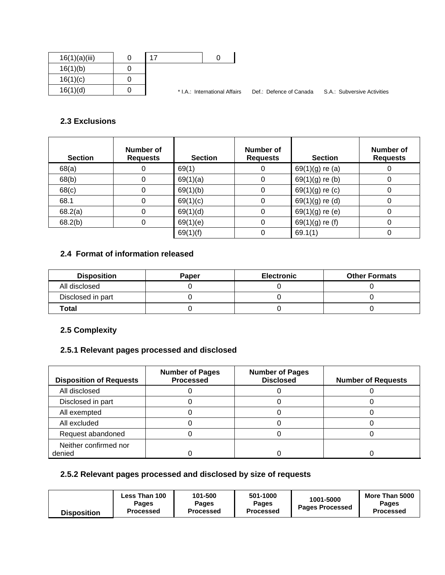| 16(1)(a)(iii) |  |                               |                         |                             |
|---------------|--|-------------------------------|-------------------------|-----------------------------|
| 16(1)(b)      |  |                               |                         |                             |
| 16(1)(c)      |  |                               |                         |                             |
| 16(1)(d)      |  | * I.A.: International Affairs | Def.: Defence of Canada | S.A.: Subversive Activities |

#### **2.3 Exclusions**

| <b>Section</b> | Number of<br><b>Requests</b> | <b>Section</b> | Number of<br><b>Requests</b> | <b>Section</b>    | Number of<br><b>Requests</b> |
|----------------|------------------------------|----------------|------------------------------|-------------------|------------------------------|
| 68(a)          |                              | 69(1)          |                              | $69(1)(g)$ re (a) |                              |
| 68(b)          |                              | 69(1)(a)       | 0                            | $69(1)(g)$ re (b) | O                            |
| 68(c)          |                              | 69(1)(b)       |                              | $69(1)(g)$ re (c) | 0                            |
| 68.1           |                              | 69(1)(c)       |                              | $69(1)(g)$ re (d) |                              |
| 68.2(a)        |                              | 69(1)(d)       | 0                            | $69(1)(g)$ re (e) | 0                            |
| 68.2(b)        |                              | 69(1)(e)       |                              | $69(1)(g)$ re (f) |                              |
|                |                              | 69(1)(f)       |                              | 69.1(1)           |                              |

## **2.4 Format of information released**

| <b>Disposition</b> | Paper | <b>Electronic</b> | <b>Other Formats</b> |
|--------------------|-------|-------------------|----------------------|
| All disclosed      |       |                   |                      |
| Disclosed in part  |       |                   |                      |
| Total              |       |                   |                      |

## **2.5 Complexity**

## **2.5.1 Relevant pages processed and disclosed**

| <b>Disposition of Requests</b>  | <b>Number of Pages</b><br><b>Processed</b> | <b>Number of Pages</b><br><b>Disclosed</b> | <b>Number of Requests</b> |
|---------------------------------|--------------------------------------------|--------------------------------------------|---------------------------|
| All disclosed                   |                                            |                                            |                           |
| Disclosed in part               |                                            |                                            |                           |
| All exempted                    |                                            |                                            |                           |
| All excluded                    |                                            |                                            |                           |
| Request abandoned               |                                            |                                            |                           |
| Neither confirmed nor<br>denied |                                            |                                            |                           |

## **2.5.2 Relevant pages processed and disclosed by size of requests**

| <b>Disposition</b> | Less Than 100<br>Pages<br><b>Processed</b> | 101-500<br>Pages<br><b>Processed</b> | 501-1000<br><b>Pages</b><br><b>Processed</b> | 1001-5000<br><b>Pages Processed</b> | More Than 5000<br><b>Pages</b><br><b>Processed</b> |
|--------------------|--------------------------------------------|--------------------------------------|----------------------------------------------|-------------------------------------|----------------------------------------------------|
|--------------------|--------------------------------------------|--------------------------------------|----------------------------------------------|-------------------------------------|----------------------------------------------------|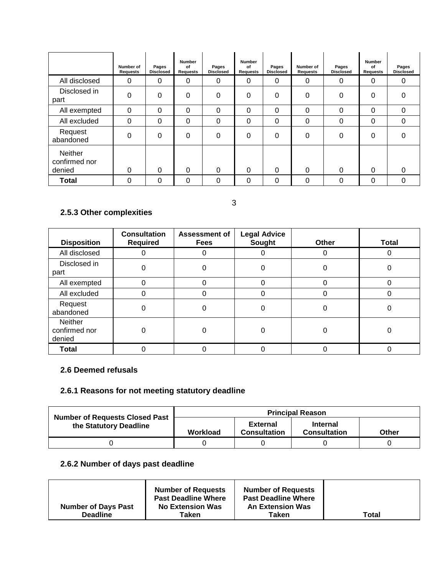|                                    | Number of<br><b>Requests</b> | Pages<br><b>Disclosed</b> | <b>Number</b><br>of<br>Requests | Pages<br><b>Disclosed</b> | <b>Number</b><br>0f<br>Requests | Pages<br><b>Disclosed</b> | Number of<br><b>Requests</b> | Pages<br><b>Disclosed</b> | Number<br>0f<br>Requests | Pages<br><b>Disclosed</b> |
|------------------------------------|------------------------------|---------------------------|---------------------------------|---------------------------|---------------------------------|---------------------------|------------------------------|---------------------------|--------------------------|---------------------------|
| All disclosed                      | 0                            | 0                         | 0                               | $\mathbf 0$               | 0                               | 0                         | 0                            | 0                         | 0                        | $\Omega$                  |
| Disclosed in<br>part               | 0                            | 0                         | 0                               | $\Omega$                  | 0                               | 0                         | 0                            | $\Omega$                  | 0                        | $\Omega$                  |
| All exempted                       | 0                            | 0                         | 0                               | 0                         | 0                               | 0                         | 0                            | 0                         | 0                        | $\Omega$                  |
| All excluded                       | 0                            | 0                         | 0                               | 0                         | 0                               | 0                         | 0                            | 0                         | 0                        | $\Omega$                  |
| Request<br>abandoned               | 0                            | 0                         | 0                               | 0                         | 0                               | 0                         | 0                            | 0                         | 0                        | $\Omega$                  |
| Neither<br>confirmed nor<br>denied | 0                            | 0                         | 0                               | $\Omega$                  | 0                               | 0                         | 0                            | $\Omega$                  | 0                        | $\Omega$                  |
| <b>Total</b>                       | 0                            | 0                         | 0                               | 0                         | 0                               | 0                         | 0                            | 0                         | 0                        | $\Omega$                  |

## 3

## **2.5.3 Other complexities**

| <b>Disposition</b>                 | <b>Consultation</b><br><b>Required</b> | <b>Assessment of</b><br><b>Fees</b> | <b>Legal Advice</b><br>Sought | Other | <b>Total</b> |
|------------------------------------|----------------------------------------|-------------------------------------|-------------------------------|-------|--------------|
| All disclosed                      |                                        |                                     |                               |       |              |
| Disclosed in<br>part               |                                        |                                     |                               |       |              |
| All exempted                       |                                        |                                     |                               |       |              |
| All excluded                       |                                        |                                     |                               |       |              |
| Request<br>abandoned               | 0                                      |                                     | 0                             |       |              |
| Neither<br>confirmed nor<br>denied |                                        |                                     | Ⴖ                             |       |              |
| <b>Total</b>                       |                                        |                                     |                               |       |              |

#### **2.6 Deemed refusals**

#### **2.6.1 Reasons for not meeting statutory deadline**

| <b>Number of Requests Closed Past</b> | <b>Principal Reason</b> |                                        |                                        |       |  |  |  |
|---------------------------------------|-------------------------|----------------------------------------|----------------------------------------|-------|--|--|--|
| the Statutory Deadline                | Workload                | <b>External</b><br><b>Consultation</b> | <b>Internal</b><br><b>Consultation</b> | Other |  |  |  |
|                                       |                         |                                        |                                        |       |  |  |  |

## **2.6.2 Number of days past deadline**

|                            | <b>Number of Requests</b><br><b>Past Deadline Where</b> | <b>Number of Requests</b><br><b>Past Deadline Where</b> |       |
|----------------------------|---------------------------------------------------------|---------------------------------------------------------|-------|
| <b>Number of Days Past</b> | <b>No Extension Was</b>                                 | <b>An Extension Was</b>                                 |       |
| <b>Deadline</b>            | ⊤aken                                                   | Taken                                                   | Total |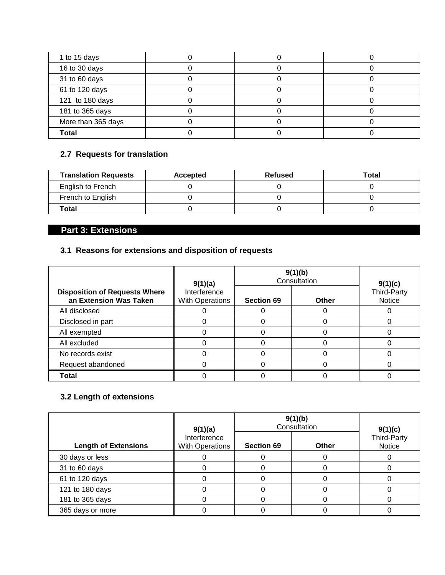| 1 to 15 days       |  |  |
|--------------------|--|--|
| 16 to 30 days      |  |  |
| 31 to 60 days      |  |  |
| 61 to 120 days     |  |  |
| 121 to 180 days    |  |  |
| 181 to 365 days    |  |  |
| More than 365 days |  |  |
| Total              |  |  |

## **2.7 Requests for translation**

| <b>Translation Requests</b> | Accepted | Refused | Total |
|-----------------------------|----------|---------|-------|
| English to French           |          |         |       |
| French to English           |          |         |       |
| Total                       |          |         |       |

## **Part 3: Extensions**

## **3.1 Reasons for extensions and disposition of requests**

|                                                                | 9(1)(a)                         | 9(1)(b)<br>Consultation | 9(1)(c) |                              |
|----------------------------------------------------------------|---------------------------------|-------------------------|---------|------------------------------|
| <b>Disposition of Requests Where</b><br>an Extension Was Taken | Interference<br>With Operations | <b>Section 69</b>       | Other   | Third-Party<br><b>Notice</b> |
| All disclosed                                                  |                                 |                         |         |                              |
| Disclosed in part                                              |                                 |                         |         |                              |
| All exempted                                                   |                                 |                         |         |                              |
| All excluded                                                   |                                 |                         |         |                              |
| No records exist                                               |                                 |                         |         |                              |
| Request abandoned                                              |                                 |                         |         |                              |
| <b>Total</b>                                                   |                                 |                         |         |                              |

## **3.2 Length of extensions**

|                             | 9(1)(a)                                | 9(1)(b)<br>Consultation | 9(1)(c)      |                       |
|-----------------------------|----------------------------------------|-------------------------|--------------|-----------------------|
| <b>Length of Extensions</b> | Interference<br><b>With Operations</b> | <b>Section 69</b>       | <b>Other</b> | Third-Party<br>Notice |
| 30 days or less             |                                        |                         |              |                       |
| 31 to 60 days               |                                        |                         |              |                       |
| 61 to 120 days              |                                        |                         |              |                       |
| 121 to 180 days             |                                        |                         |              |                       |
| 181 to 365 days             |                                        |                         |              |                       |
| 365 days or more            |                                        |                         |              |                       |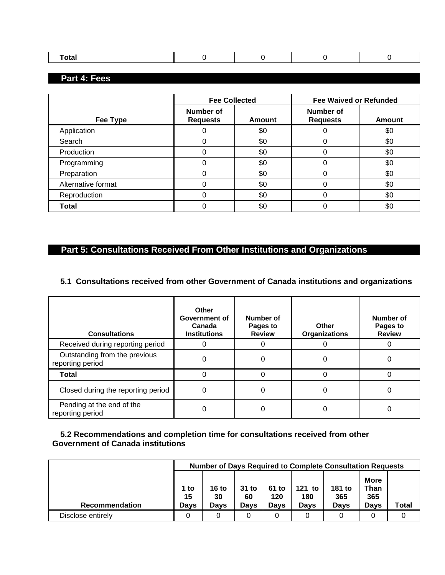| 'lai |  |  |
|------|--|--|
|      |  |  |

## **Part 4: Fees**

|                    | <b>Fee Collected</b>         |        | <b>Fee Waived or Refunded</b> |               |  |
|--------------------|------------------------------|--------|-------------------------------|---------------|--|
| Fee Type           | Number of<br><b>Requests</b> | Amount | Number of<br><b>Requests</b>  | <b>Amount</b> |  |
| Application        |                              | \$0    | 0                             | \$0           |  |
| Search             |                              | \$0    | 0                             | \$0           |  |
| Production         |                              | \$0    | 0                             | \$0           |  |
| Programming        | 0                            | \$0    | 0                             | \$0           |  |
| Preparation        | U                            | \$0    | 0                             | \$0           |  |
| Alternative format |                              | \$0    | 0                             | \$0           |  |
| Reproduction       | ი                            | \$0    | 0                             | \$0           |  |
| <b>Total</b>       |                              | \$0    | 0                             | \$0           |  |

## **Part 5: Consultations Received From Other Institutions and Organizations**

#### **5.1 Consultations received from other Government of Canada institutions and organizations**

| <b>Consultations</b>                              | Other<br>Government of<br>Canada<br><b>Institutions</b> | Number of<br>Pages to<br><b>Review</b> | Other<br><b>Organizations</b> | Number of<br>Pages to<br><b>Review</b> |
|---------------------------------------------------|---------------------------------------------------------|----------------------------------------|-------------------------------|----------------------------------------|
| Received during reporting period                  |                                                         |                                        | 0                             |                                        |
| Outstanding from the previous<br>reporting period |                                                         | 0                                      | 0                             |                                        |
| <b>Total</b>                                      |                                                         |                                        | O                             |                                        |
| Closed during the reporting period                | O                                                       | ი                                      | 0                             |                                        |
| Pending at the end of the<br>reporting period     |                                                         |                                        | 0                             |                                        |

#### **5.2 Recommendations and completion time for consultations received from other Government of Canada institutions**

|                       |                           | <b>Number of Days Required to Complete Consultation Requests</b> |                       |                             |                       |                       |                                           |       |
|-----------------------|---------------------------|------------------------------------------------------------------|-----------------------|-----------------------------|-----------------------|-----------------------|-------------------------------------------|-------|
| <b>Recommendation</b> | 1 to<br>15<br><b>Davs</b> | 16 to<br>30<br>Davs                                              | $31$ to<br>60<br>Davs | 61 to<br>120<br><b>Days</b> | 121 to<br>180<br>Davs | 181 to<br>365<br>Days | <b>More</b><br>Than<br>365<br><b>Davs</b> | Total |
| Disclose entirely     | 0                         |                                                                  |                       |                             |                       |                       |                                           |       |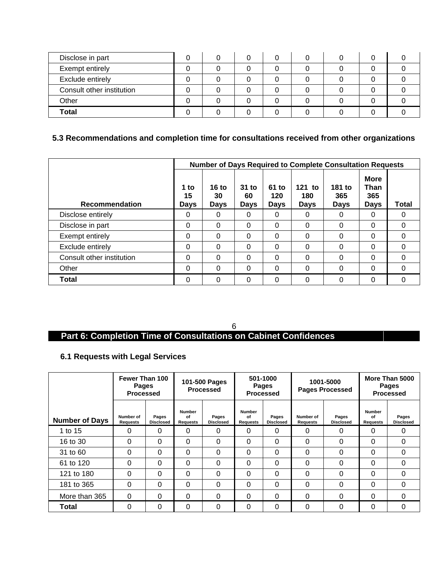| Disclose in part          |  |  |  |  |
|---------------------------|--|--|--|--|
| Exempt entirely           |  |  |  |  |
| Exclude entirely          |  |  |  |  |
| Consult other institution |  |  |  |  |
| Other                     |  |  |  |  |
| <b>Total</b>              |  |  |  |  |

## **5.3 Recommendations and completion time for consultations received from other organizations**

|                           | <b>Number of Days Required to Complete Consultation Requests</b> |                              |                       |                             |                                |                       |                                    |       |
|---------------------------|------------------------------------------------------------------|------------------------------|-----------------------|-----------------------------|--------------------------------|-----------------------|------------------------------------|-------|
| <b>Recommendation</b>     | 1 to<br>15<br><b>Days</b>                                        | 16 $to$<br>30<br><b>Days</b> | $31$ to<br>60<br>Days | 61 to<br>120<br><b>Days</b> | $121$ to<br>180<br><b>Days</b> | 181 to<br>365<br>Days | <b>More</b><br>Than<br>365<br>Days | Total |
| Disclose entirely         | 0                                                                | 0                            | 0                     | 0                           | 0                              | 0                     | 0                                  | 0     |
| Disclose in part          | 0                                                                | 0                            | 0                     | 0                           | 0                              | $\Omega$              | 0                                  | 0     |
| Exempt entirely           | 0                                                                | 0                            | 0                     | $\Omega$                    | 0                              | $\Omega$              | 0                                  | 0     |
| Exclude entirely          | 0                                                                | 0                            | 0                     | $\Omega$                    | 0                              | 0                     | 0                                  | 0     |
| Consult other institution | 0                                                                | 0                            | 0                     | $\Omega$                    | 0                              | 0                     | 0                                  | 0     |
| Other                     | 0                                                                | 0                            | 0                     | 0                           | 0                              | $\Omega$              | 0                                  | 0     |
| <b>Total</b>              | 0                                                                | 0                            | 0                     | $\Omega$                    | 0                              | 0                     | 0                                  | 0     |

6

## **Part 6: Completion Time of Consultations on Cabinet Confidences**

#### **6.1 Requests with Legal Services**

|                       | Fewer Than 100<br>Pages<br><b>Processed</b> |                           | 101-500 Pages<br><b>Processed</b> |                           | 501-1000<br><b>Pages</b><br><b>Processed</b> |                           | 1001-5000<br><b>Pages Processed</b> |                           | More Than 5000<br><b>Pages</b><br><b>Processed</b> |                           |
|-----------------------|---------------------------------------------|---------------------------|-----------------------------------|---------------------------|----------------------------------------------|---------------------------|-------------------------------------|---------------------------|----------------------------------------------------|---------------------------|
| <b>Number of Days</b> | Number of<br><b>Requests</b>                | Pages<br><b>Disclosed</b> | <b>Number</b><br>οf<br>Requests   | Pages<br><b>Disclosed</b> | <b>Number</b><br>οf<br>Requests              | Pages<br><b>Disclosed</b> | Number of<br>Requests               | Pages<br><b>Disclosed</b> | <b>Number</b><br>οf<br><b>Requests</b>             | Pages<br><b>Disclosed</b> |
| 1 to 15               | 0                                           | 0                         | 0                                 | 0                         | 0                                            | $\Omega$                  | 0                                   | 0                         | 0                                                  | 0                         |
| 16 to 30              | 0                                           | 0                         | 0                                 | 0                         | $\Omega$                                     | $\Omega$                  | 0                                   | 0                         | 0                                                  | 0                         |
| 31 to 60              | 0                                           | 0                         | 0                                 | 0                         | 0                                            | $\Omega$                  | $\Omega$                            | $\Omega$                  | 0                                                  | 0                         |
| 61 to 120             | 0                                           | 0                         | 0                                 | 0                         | 0                                            | $\Omega$                  | $\Omega$                            | 0                         | 0                                                  | 0                         |
| 121 to 180            | 0                                           | 0                         | 0                                 | 0                         | 0                                            | $\Omega$                  | $\Omega$                            | $\Omega$                  | $\Omega$                                           | 0                         |
| 181 to 365            | 0                                           | 0                         | 0                                 | 0                         | 0                                            | $\Omega$                  | $\Omega$                            | 0                         | 0                                                  | 0                         |
| More than 365         | 0                                           | 0                         | 0                                 | 0                         | 0                                            | $\Omega$                  | $\Omega$                            | 0                         | $\Omega$                                           | 0                         |
| <b>Total</b>          | 0                                           | 0                         | 0                                 | 0                         | 0                                            | $\Omega$                  | 0                                   | 0                         | 0                                                  | 0                         |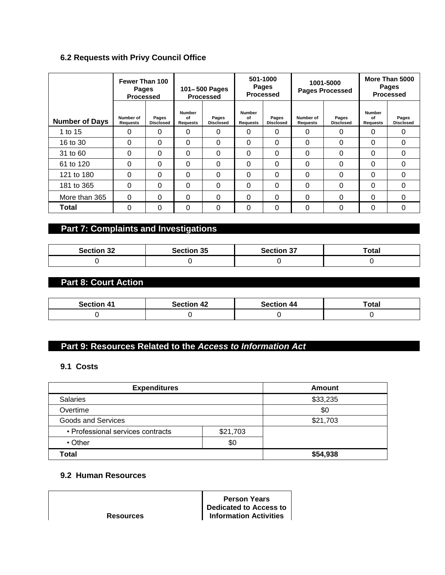#### **6.2 Requests with Privy Council Office**

|                       | Fewer Than 100<br><b>Pages</b><br><b>Processed</b> |                           | 101-500 Pages<br><b>Processed</b> |                           | 501-1000<br><b>Pages</b><br><b>Processed</b> |                           | 1001-5000<br><b>Pages Processed</b> |                           | More Than 5000<br>Pages<br><b>Processed</b> |                           |
|-----------------------|----------------------------------------------------|---------------------------|-----------------------------------|---------------------------|----------------------------------------------|---------------------------|-------------------------------------|---------------------------|---------------------------------------------|---------------------------|
| <b>Number of Days</b> | Number of<br>Requests                              | Pages<br><b>Disclosed</b> | <b>Number</b><br>οf<br>Requests   | Pages<br><b>Disclosed</b> | <b>Number</b><br>οf<br>Requests              | Pages<br><b>Disclosed</b> | Number of<br><b>Requests</b>        | Pages<br><b>Disclosed</b> | Number<br>of<br><b>Requests</b>             | Pages<br><b>Disclosed</b> |
| 1 to 15               | 0                                                  | 0                         | 0                                 | 0                         | $\Omega$                                     | 0                         | 0                                   | 0                         | 0                                           | $\Omega$                  |
| 16 to 30              | 0                                                  | 0                         | 0                                 | 0                         | $\Omega$                                     | 0                         | 0                                   | 0                         | $\Omega$                                    | $\Omega$                  |
| 31 to 60              | $\Omega$                                           | 0                         | 0                                 | 0                         | $\Omega$                                     | 0                         | 0                                   | 0                         | $\Omega$                                    | $\Omega$                  |
| 61 to 120             | $\Omega$                                           | $\Omega$                  | 0                                 | $\Omega$                  | $\Omega$                                     | 0                         | 0                                   | 0                         | $\Omega$                                    | $\Omega$                  |
| 121 to 180            | $\Omega$                                           | 0                         | 0                                 | $\Omega$                  | $\Omega$                                     | 0                         | 0                                   | 0                         | $\Omega$                                    | $\Omega$                  |
| 181 to 365            | 0                                                  | 0                         | $\Omega$                          | 0                         | $\Omega$                                     | 0                         | 0                                   | $\Omega$                  | $\Omega$                                    | $\Omega$                  |
| More than 365         | 0                                                  | 0                         | 0                                 | 0                         | $\Omega$                                     | 0                         | 0                                   | 0                         | $\Omega$                                    | $\Omega$                  |
| <b>Total</b>          | 0                                                  | 0                         | 0                                 | 0                         | $\Omega$                                     | 0                         | 0                                   | 0                         | 0                                           | $\Omega$                  |

# **Part 7: Complaints and Investigations**

| <b>Section 32</b> | <b>Section 35</b> | <b>Section 37</b> | Total |
|-------------------|-------------------|-------------------|-------|
|                   |                   |                   |       |

## **Part 8: Court Action**

| <b>Section 41</b> | <b>Section 42</b> | <b>Section 44</b> | Total |
|-------------------|-------------------|-------------------|-------|
|                   |                   |                   |       |

#### **Part 9: Resources Related to the** *Access to Information Act*

#### **9.1 Costs**

| <b>Expenditures</b>               |          | Amount   |  |  |
|-----------------------------------|----------|----------|--|--|
| <b>Salaries</b>                   |          | \$33,235 |  |  |
| Overtime                          |          | \$0      |  |  |
| Goods and Services                |          | \$21,703 |  |  |
| • Professional services contracts | \$21,703 |          |  |  |
| $\cdot$ Other                     | \$0      |          |  |  |
| Total                             |          | \$54,938 |  |  |

#### **9.2 Human Resources**

**Person Years Dedicated to Access to Information Activities** 

**Resources**